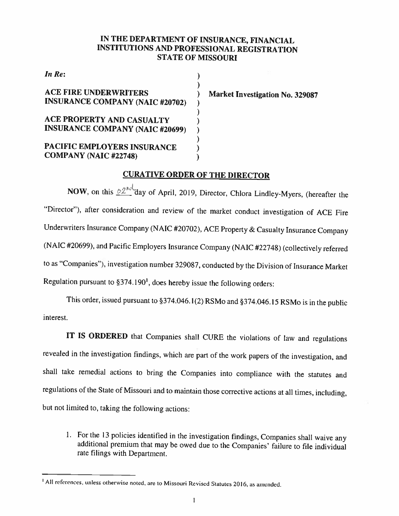## IN THE DEPARTMENT OF INSURANCE, FINANCIAL INSTITUTIONS AND PROFESSIONAL REGISTRATION STATE OF MISSOURI

 $\mathcal{E}$ 

 $\mathcal{E}$ 

In Re:  $\qquad \qquad$ )

## ACE FIRE UNDERWRITERS ) Market Investigation No. 329087<br>INSURANCE COMPANY (NAIC #20702)

(<br>ACE PROPERTY AND CASUALTY (1) INSURANCE COMPANY (NAIC #20699)

(<br>PACIFIC EMPLOYERS INSURANCE COMPANY (NAIC #22748)

## CURATIVE ORDER OF THE DIRECTOR

 $\lambda$ 

NOW, on this  $\frac{\partial 2^{n\delta}}{\delta}$  day of April, 2019, Director, Chlora Lindley-Myers, (hereafter the "Director"), after consideration and review of the market conduct investigation of ACE Fire Underwriters Insurance Company (NAIC #20702), ACE Property & Casualty Insurance Company (NAIC #20699), and Pacific Employers Insurance Company (NAIC #22748) (collectively referred to as "Companies'), investigation number 329087. conducted by the Division of Insurance Market Regulation pursuant to §374.1901, does hereby issue the following orders:

This order, issued pursuant to §374.046.1(2) RSMo and §374.046.15 RSMo is in the public interest.

IT IS ORDERED that Companies shall CURE the violations of law and regulations revealed in the investigation findings, which are part of the work papers of the investigation, and shall take remedial actions to bring the Companies into compliance with the statutes and regulations of the State of Missouri and to maintain those corrective actions at all times, including, but not limited to. taking the following actions:

1. For the <sup>13</sup> policies identified in the investigation findings, Companies shall waive any additional premium that may he owed due to the Companies' failure to file individual rate filings with Department.

<sup>&#</sup>x27;All references, unless otherwise noted, are to Missouri Revised Statutes 2016, as amended.